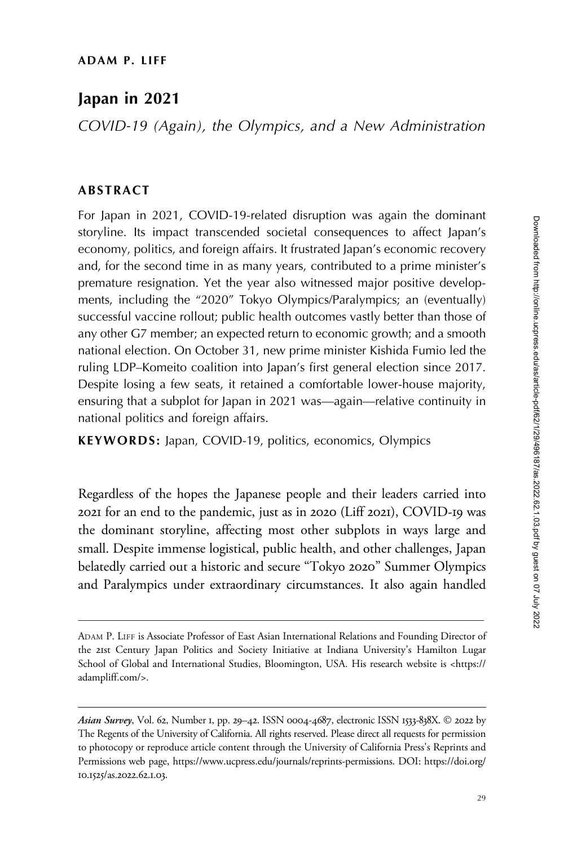# Japan in 2021

COVID-19 (Again), the Olympics, and a New Administration

## ABSTRACT

For Japan in 2021, COVID-19-related disruption was again the dominant storyline. Its impact transcended societal consequences to affect Japan's economy, politics, and foreign affairs. It frustrated Japan's economic recovery and, for the second time in as many years, contributed to a prime minister's premature resignation. Yet the year also witnessed major positive developments, including the "2020" Tokyo Olympics/Paralympics; an (eventually) successful vaccine rollout; public health outcomes vastly better than those of any other G7 member; an expected return to economic growth; and a smooth national election. On October 31, new prime minister Kishida Fumio led the ruling LDP–Komeito coalition into Japan's first general election since 2017. Despite losing a few seats, it retained a comfortable lower-house majority, ensuring that a subplot for Japan in 2021 was—again—relative continuity in national politics and foreign affairs.

KEYWORDS: Japan, COVID-19, politics, economics, Olympics

Regardless of the hopes the Japanese people and their leaders carried into 2021 for an end to the pandemic, just as in 2020 (Liff 2021), COVID-19 was the dominant storyline, affecting most other subplots in ways large and small. Despite immense logistical, public health, and other challenges, Japan belatedly carried out a historic and secure "Tokyo 2020" Summer Olympics and Paralympics under extraordinary circumstances. It also again handled

ADAM P. LIFF is Associate Professor of East Asian International Relations and Founding Director of the 21st Century Japan Politics and Society Initiative at Indiana University's Hamilton Lugar School of Global and International Studies, Bloomington, USA. His research website is <[https://](https://adampliff.com/) [adampliff.com/>](https://adampliff.com/).

Asian Survey, Vol. 62, Number 1, pp. 29–42. ISSN 0004-4687, electronic ISSN 1533-838X. © 2022 by The Regents of the University of California. All rights reserved. Please direct all requests for permission to photocopy or reproduce article content through the University of California Press's Reprints and Permissions web page,<https://www.ucpress.edu/journals/reprints-permissions>. [DOI: https://doi.org/](https://doi.org/10.1525/as.2022.62.1.03) 10.1525/as.[2022](https://doi.org/10.1525/as.2022.62.1.03).62.1.03.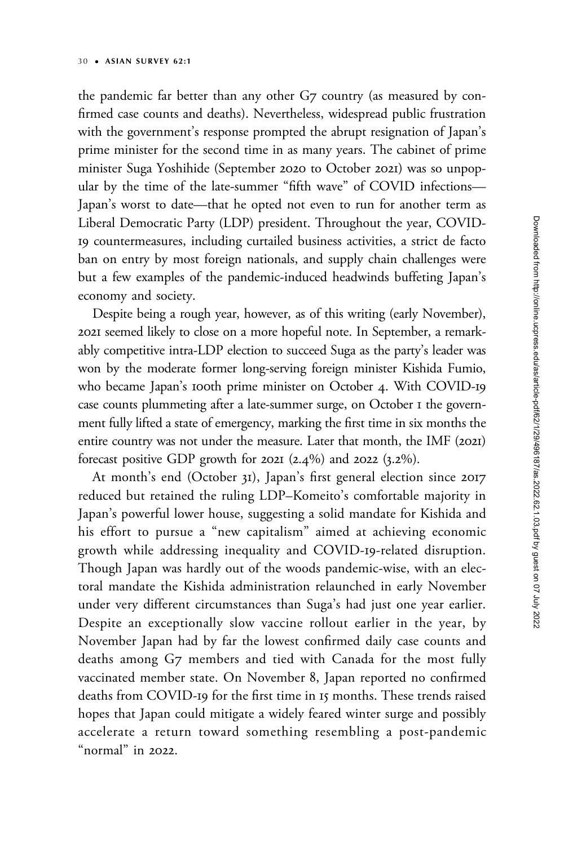the pandemic far better than any other G7 country (as measured by confirmed case counts and deaths). Nevertheless, widespread public frustration with the government's response prompted the abrupt resignation of Japan's prime minister for the second time in as many years. The cabinet of prime minister Suga Yoshihide (September 2020 to October 2021) was so unpopular by the time of the late-summer "fifth wave" of COVID infections— Japan's worst to date—that he opted not even to run for another term as Liberal Democratic Party (LDP) president. Throughout the year, COVID-19 countermeasures, including curtailed business activities, a strict de facto ban on entry by most foreign nationals, and supply chain challenges were but a few examples of the pandemic-induced headwinds buffeting Japan's economy and society.

Despite being a rough year, however, as of this writing (early November), 2021 seemed likely to close on a more hopeful note. In September, a remarkably competitive intra-LDP election to succeed Suga as the party's leader was won by the moderate former long-serving foreign minister Kishida Fumio, who became Japan's 100th prime minister on October 4. With COVID-19 case counts plummeting after a late-summer surge, on October 1 the government fully lifted a state of emergency, marking the first time in six months the entire country was not under the measure. Later that month, the IMF (2021) forecast positive GDP growth for 2021 (2.4%) and 2022 (3.2%).

At month's end (October 31), Japan's first general election since 2017 reduced but retained the ruling LDP–Komeito's comfortable majority in Japan's powerful lower house, suggesting a solid mandate for Kishida and his effort to pursue a "new capitalism" aimed at achieving economic growth while addressing inequality and COVID-19-related disruption. Though Japan was hardly out of the woods pandemic-wise, with an electoral mandate the Kishida administration relaunched in early November under very different circumstances than Suga's had just one year earlier. Despite an exceptionally slow vaccine rollout earlier in the year, by November Japan had by far the lowest confirmed daily case counts and deaths among G7 members and tied with Canada for the most fully vaccinated member state. On November 8, Japan reported no confirmed deaths from COVID-19 for the first time in 15 months. These trends raised hopes that Japan could mitigate a widely feared winter surge and possibly accelerate a return toward something resembling a post-pandemic "normal" in 2022.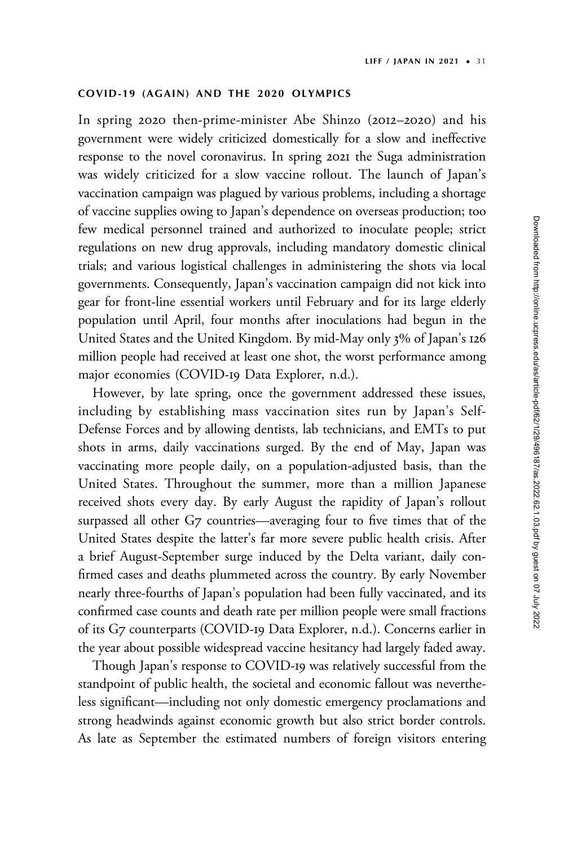## COVID-19 (AGAIN) AND THE 2020 OLYMPICS

In spring 2020 then-prime-minister Abe Shinzo (2012–2020) and his government were widely criticized domestically for a slow and ineffective response to the novel coronavirus. In spring 2021 the Suga administration was widely criticized for a slow vaccine rollout. The launch of Japan's vaccination campaign was plagued by various problems, including a shortage of vaccine supplies owing to Japan's dependence on overseas production; too few medical personnel trained and authorized to inoculate people; strict regulations on new drug approvals, including mandatory domestic clinical trials; and various logistical challenges in administering the shots via local governments. Consequently, Japan's vaccination campaign did not kick into gear for front-line essential workers until February and for its large elderly population until April, four months after inoculations had begun in the United States and the United Kingdom. By mid-May only 3% of Japan's 126 million people had received at least one shot, the worst performance among major economies (COVID-19 Data Explorer, n.d.).

However, by late spring, once the government addressed these issues, including by establishing mass vaccination sites run by Japan's Self-Defense Forces and by allowing dentists, lab technicians, and EMTs to put shots in arms, daily vaccinations surged. By the end of May, Japan was vaccinating more people daily, on a population-adjusted basis, than the United States. Throughout the summer, more than a million Japanese received shots every day. By early August the rapidity of Japan's rollout surpassed all other G7 countries—averaging four to five times that of the United States despite the latter's far more severe public health crisis. After a brief August-September surge induced by the Delta variant, daily confirmed cases and deaths plummeted across the country. By early November nearly three-fourths of Japan's population had been fully vaccinated, and its confirmed case counts and death rate per million people were small fractions of its G7 counterparts (COVID-19 Data Explorer, n.d.). Concerns earlier in the year about possible widespread vaccine hesitancy had largely faded away.

Though Japan's response to COVID-19 was relatively successful from the standpoint of public health, the societal and economic fallout was nevertheless significant—including not only domestic emergency proclamations and strong headwinds against economic growth but also strict border controls. As late as September the estimated numbers of foreign visitors entering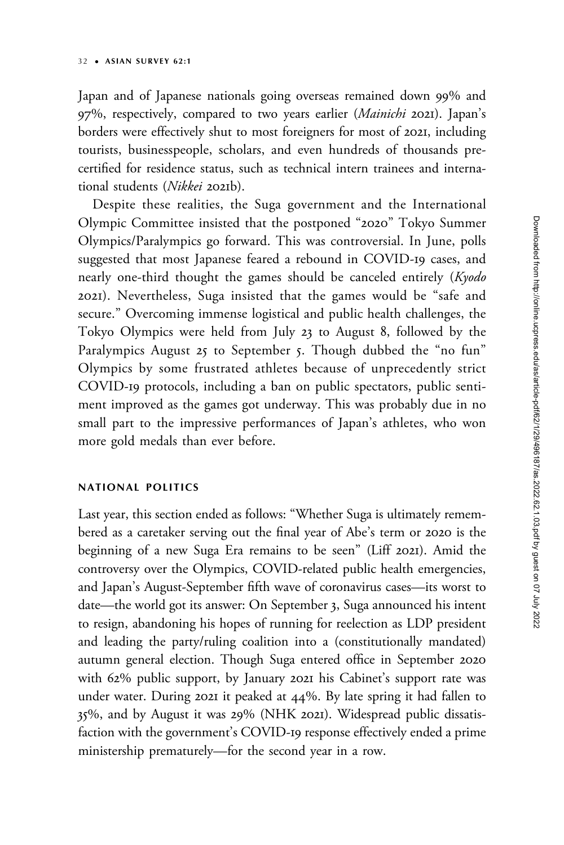Japan and of Japanese nationals going overseas remained down 99% and 97%, respectively, compared to two years earlier (Mainichi 2021). Japan's borders were effectively shut to most foreigners for most of 2021, including tourists, businesspeople, scholars, and even hundreds of thousands precertified for residence status, such as technical intern trainees and international students (Nikkei 2021b).

Despite these realities, the Suga government and the International Olympic Committee insisted that the postponed "2020" Tokyo Summer Olympics/Paralympics go forward. This was controversial. In June, polls suggested that most Japanese feared a rebound in COVID-19 cases, and nearly one-third thought the games should be canceled entirely (Kyodo 2021). Nevertheless, Suga insisted that the games would be "safe and secure." Overcoming immense logistical and public health challenges, the Tokyo Olympics were held from July 23 to August 8, followed by the Paralympics August 25 to September 5. Though dubbed the "no fun" Olympics by some frustrated athletes because of unprecedently strict COVID-19 protocols, including a ban on public spectators, public sentiment improved as the games got underway. This was probably due in no small part to the impressive performances of Japan's athletes, who won more gold medals than ever before.

### NATIONAL POLITICS

Last year, this section ended as follows: "Whether Suga is ultimately remembered as a caretaker serving out the final year of Abe's term or 2020 is the beginning of a new Suga Era remains to be seen" (Liff 2021). Amid the controversy over the Olympics, COVID-related public health emergencies, and Japan's August-September fifth wave of coronavirus cases—its worst to date—the world got its answer: On September 3, Suga announced his intent to resign, abandoning his hopes of running for reelection as LDP president and leading the party/ruling coalition into a (constitutionally mandated) autumn general election. Though Suga entered office in September 2020 with 62% public support, by January 2021 his Cabinet's support rate was under water. During 2021 it peaked at 44%. By late spring it had fallen to 35%, and by August it was 29% (NHK 2021). Widespread public dissatisfaction with the government's COVID-19 response effectively ended a prime ministership prematurely—for the second year in a row.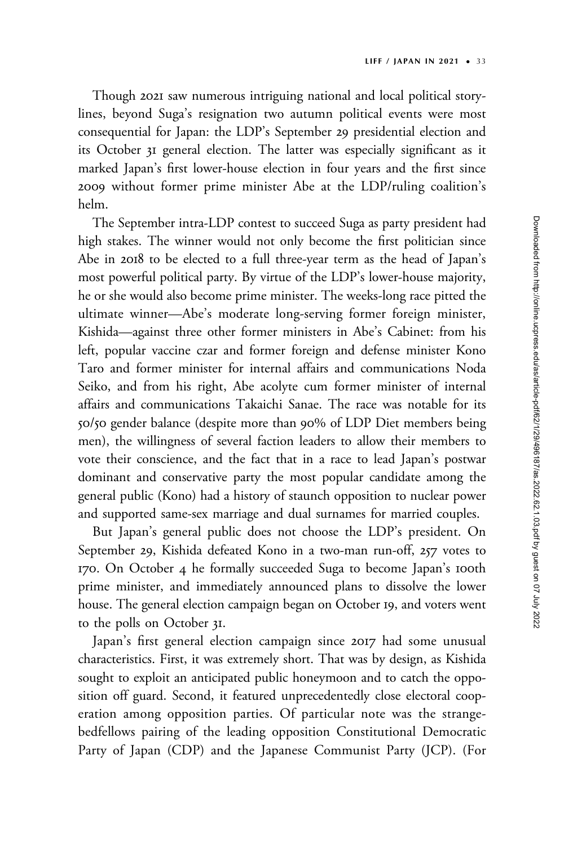Though 2021 saw numerous intriguing national and local political storylines, beyond Suga's resignation two autumn political events were most consequential for Japan: the LDP's September 29 presidential election and its October 31 general election. The latter was especially significant as it marked Japan's first lower-house election in four years and the first since 2009 without former prime minister Abe at the LDP/ruling coalition's helm.

The September intra-LDP contest to succeed Suga as party president had high stakes. The winner would not only become the first politician since Abe in 2018 to be elected to a full three-year term as the head of Japan's most powerful political party. By virtue of the LDP's lower-house majority, he or she would also become prime minister. The weeks-long race pitted the ultimate winner—Abe's moderate long-serving former foreign minister, Kishida—against three other former ministers in Abe's Cabinet: from his left, popular vaccine czar and former foreign and defense minister Kono Taro and former minister for internal affairs and communications Noda Seiko, and from his right, Abe acolyte cum former minister of internal affairs and communications Takaichi Sanae. The race was notable for its 50/50 gender balance (despite more than 90% of LDP Diet members being men), the willingness of several faction leaders to allow their members to vote their conscience, and the fact that in a race to lead Japan's postwar dominant and conservative party the most popular candidate among the general public (Kono) had a history of staunch opposition to nuclear power and supported same-sex marriage and dual surnames for married couples.

But Japan's general public does not choose the LDP's president. On September 29, Kishida defeated Kono in a two-man run-off, 257 votes to 170. On October 4 he formally succeeded Suga to become Japan's 100th prime minister, and immediately announced plans to dissolve the lower house. The general election campaign began on October 19, and voters went to the polls on October 31.

Japan's first general election campaign since 2017 had some unusual characteristics. First, it was extremely short. That was by design, as Kishida sought to exploit an anticipated public honeymoon and to catch the opposition off guard. Second, it featured unprecedentedly close electoral cooperation among opposition parties. Of particular note was the strangebedfellows pairing of the leading opposition Constitutional Democratic Party of Japan (CDP) and the Japanese Communist Party (JCP). (For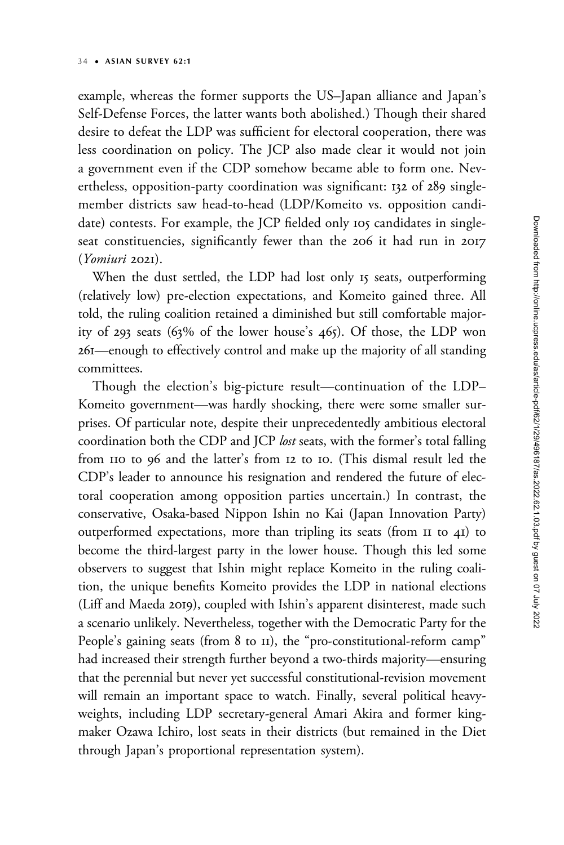example, whereas the former supports the US–Japan alliance and Japan's Self-Defense Forces, the latter wants both abolished.) Though their shared desire to defeat the LDP was sufficient for electoral cooperation, there was less coordination on policy. The JCP also made clear it would not join a government even if the CDP somehow became able to form one. Nevertheless, opposition-party coordination was significant: 132 of 289 singlemember districts saw head-to-head (LDP/Komeito vs. opposition candidate) contests. For example, the JCP fielded only 105 candidates in singleseat constituencies, significantly fewer than the 206 it had run in 2017 (Yomiuri 2021).

When the dust settled, the LDP had lost only 15 seats, outperforming (relatively low) pre-election expectations, and Komeito gained three. All told, the ruling coalition retained a diminished but still comfortable majority of 293 seats (63% of the lower house's 465). Of those, the LDP won 261—enough to effectively control and make up the majority of all standing committees.

Though the election's big-picture result—continuation of the LDP– Komeito government—was hardly shocking, there were some smaller surprises. Of particular note, despite their unprecedentedly ambitious electoral coordination both the CDP and JCP lost seats, with the former's total falling from 110 to 96 and the latter's from 12 to 10. (This dismal result led the CDP's leader to announce his resignation and rendered the future of electoral cooperation among opposition parties uncertain.) In contrast, the conservative, Osaka-based Nippon Ishin no Kai (Japan Innovation Party) outperformed expectations, more than tripling its seats (from 11 to 41) to become the third-largest party in the lower house. Though this led some observers to suggest that Ishin might replace Komeito in the ruling coalition, the unique benefits Komeito provides the LDP in national elections (Liff and Maeda 2019), coupled with Ishin's apparent disinterest, made such a scenario unlikely. Nevertheless, together with the Democratic Party for the People's gaining seats (from 8 to II), the "pro-constitutional-reform camp" had increased their strength further beyond a two-thirds majority—ensuring that the perennial but never yet successful constitutional-revision movement will remain an important space to watch. Finally, several political heavyweights, including LDP secretary-general Amari Akira and former kingmaker Ozawa Ichiro, lost seats in their districts (but remained in the Diet through Japan's proportional representation system).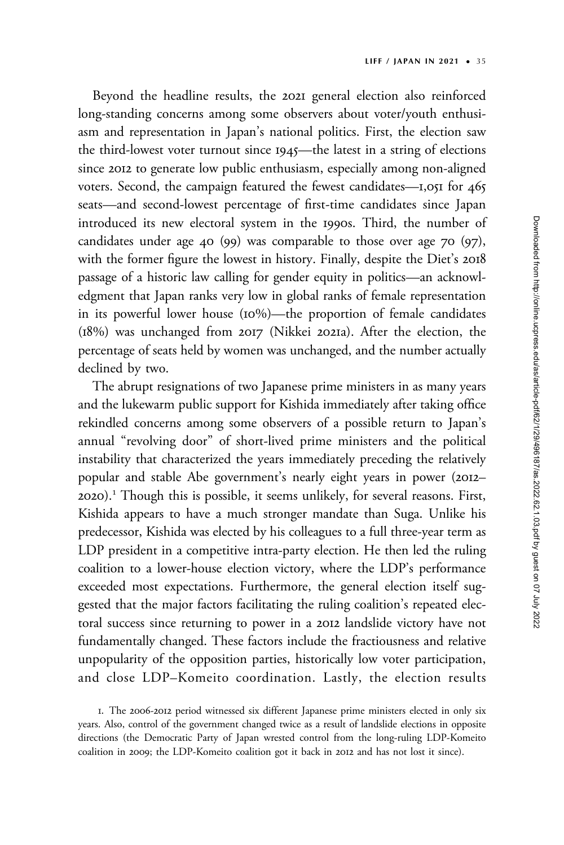Beyond the headline results, the 2021 general election also reinforced long-standing concerns among some observers about voter/youth enthusiasm and representation in Japan's national politics. First, the election saw the third-lowest voter turnout since 1945—the latest in a string of elections since 2012 to generate low public enthusiasm, especially among non-aligned voters. Second, the campaign featured the fewest candidates—1,051 for 465 seats—and second-lowest percentage of first-time candidates since Japan introduced its new electoral system in the 1990s. Third, the number of candidates under age 40 (99) was comparable to those over age 70 (97), with the former figure the lowest in history. Finally, despite the Diet's 2018 passage of a historic law calling for gender equity in politics—an acknowledgment that Japan ranks very low in global ranks of female representation in its powerful lower house (10%)—the proportion of female candidates (18%) was unchanged from 2017 (Nikkei 2021a). After the election, the percentage of seats held by women was unchanged, and the number actually declined by two.

The abrupt resignations of two Japanese prime ministers in as many years and the lukewarm public support for Kishida immediately after taking office rekindled concerns among some observers of a possible return to Japan's annual "revolving door" of short-lived prime ministers and the political instability that characterized the years immediately preceding the relatively popular and stable Abe government's nearly eight years in power (2012– 2020).<sup>1</sup> Though this is possible, it seems unlikely, for several reasons. First, Kishida appears to have a much stronger mandate than Suga. Unlike his predecessor, Kishida was elected by his colleagues to a full three-year term as LDP president in a competitive intra-party election. He then led the ruling coalition to a lower-house election victory, where the LDP's performance exceeded most expectations. Furthermore, the general election itself suggested that the major factors facilitating the ruling coalition's repeated electoral success since returning to power in a 2012 landslide victory have not fundamentally changed. These factors include the fractiousness and relative unpopularity of the opposition parties, historically low voter participation, and close LDP–Komeito coordination. Lastly, the election results

<sup>1.</sup> The 2006-2012 period witnessed six different Japanese prime ministers elected in only six years. Also, control of the government changed twice as a result of landslide elections in opposite directions (the Democratic Party of Japan wrested control from the long-ruling LDP-Komeito coalition in 2009; the LDP-Komeito coalition got it back in 2012 and has not lost it since).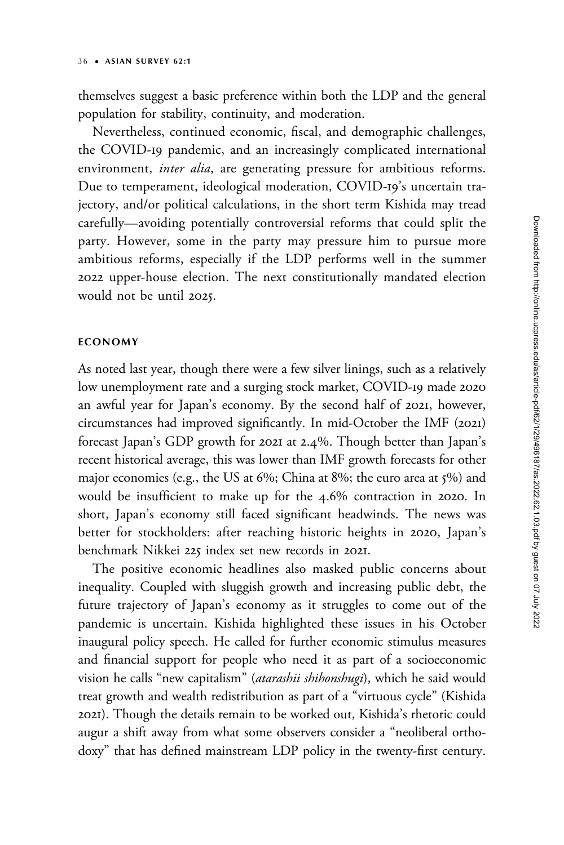themselves suggest a basic preference within both the LDP and the general population for stability, continuity, and moderation.

Nevertheless, continued economic, fiscal, and demographic challenges, the COVID-19 pandemic, and an increasingly complicated international environment, inter alia, are generating pressure for ambitious reforms. Due to temperament, ideological moderation, COVID-19's uncertain trajectory, and/or political calculations, in the short term Kishida may tread carefully—avoiding potentially controversial reforms that could split the party. However, some in the party may pressure him to pursue more ambitious reforms, especially if the LDP performs well in the summer 2022 upper-house election. The next constitutionally mandated election would not be until 2025.

#### ECONOMY

As noted last year, though there were a few silver linings, such as a relatively low unemployment rate and a surging stock market, COVID-19 made 2020 an awful year for Japan's economy. By the second half of 2021, however, circumstances had improved significantly. In mid-October the IMF (2021) forecast Japan's GDP growth for 2021 at 2.4%. Though better than Japan's recent historical average, this was lower than IMF growth forecasts for other major economies (e.g., the US at 6%; China at 8%; the euro area at 5%) and would be insufficient to make up for the 4.6% contraction in 2020. In short, Japan's economy still faced significant headwinds. The news was better for stockholders: after reaching historic heights in 2020, Japan's benchmark Nikkei 225 index set new records in 2021.

The positive economic headlines also masked public concerns about inequality. Coupled with sluggish growth and increasing public debt, the future trajectory of Japan's economy as it struggles to come out of the pandemic is uncertain. Kishida highlighted these issues in his October inaugural policy speech. He called for further economic stimulus measures and financial support for people who need it as part of a socioeconomic vision he calls "new capitalism" (atarashii shihonshugi), which he said would treat growth and wealth redistribution as part of a "virtuous cycle" (Kishida 2021). Though the details remain to be worked out, Kishida's rhetoric could augur a shift away from what some observers consider a "neoliberal orthodoxy" that has defined mainstream LDP policy in the twenty-first century.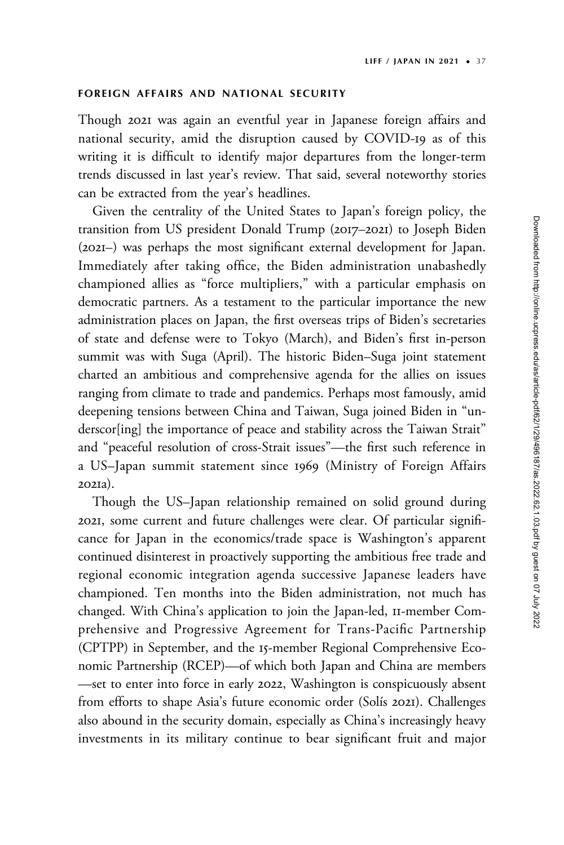#### FOREIGN AFFAIRS AND NATIONAL SECURITY

Though 2021 was again an eventful year in Japanese foreign affairs and national security, amid the disruption caused by COVID-19 as of this writing it is difficult to identify major departures from the longer-term trends discussed in last year's review. That said, several noteworthy stories can be extracted from the year's headlines.

Given the centrality of the United States to Japan's foreign policy, the transition from US president Donald Trump (2017–2021) to Joseph Biden (2021–) was perhaps the most significant external development for Japan. Immediately after taking office, the Biden administration unabashedly championed allies as "force multipliers," with a particular emphasis on democratic partners. As a testament to the particular importance the new administration places on Japan, the first overseas trips of Biden's secretaries of state and defense were to Tokyo (March), and Biden's first in-person summit was with Suga (April). The historic Biden–Suga joint statement charted an ambitious and comprehensive agenda for the allies on issues ranging from climate to trade and pandemics. Perhaps most famously, amid deepening tensions between China and Taiwan, Suga joined Biden in "underscor[ing] the importance of peace and stability across the Taiwan Strait" and "peaceful resolution of cross-Strait issues"—the first such reference in a US–Japan summit statement since 1969 (Ministry of Foreign Affairs 2021a).

Though the US–Japan relationship remained on solid ground during 2021, some current and future challenges were clear. Of particular significance for Japan in the economics/trade space is Washington's apparent continued disinterest in proactively supporting the ambitious free trade and regional economic integration agenda successive Japanese leaders have championed. Ten months into the Biden administration, not much has changed. With China's application to join the Japan-led, 11-member Comprehensive and Progressive Agreement for Trans-Pacific Partnership (CPTPP) in September, and the 15-member Regional Comprehensive Economic Partnership (RCEP)—of which both Japan and China are members —set to enter into force in early 2022, Washington is conspicuously absent from efforts to shape Asia's future economic order (Solís 2021). Challenges also abound in the security domain, especially as China's increasingly heavy investments in its military continue to bear significant fruit and major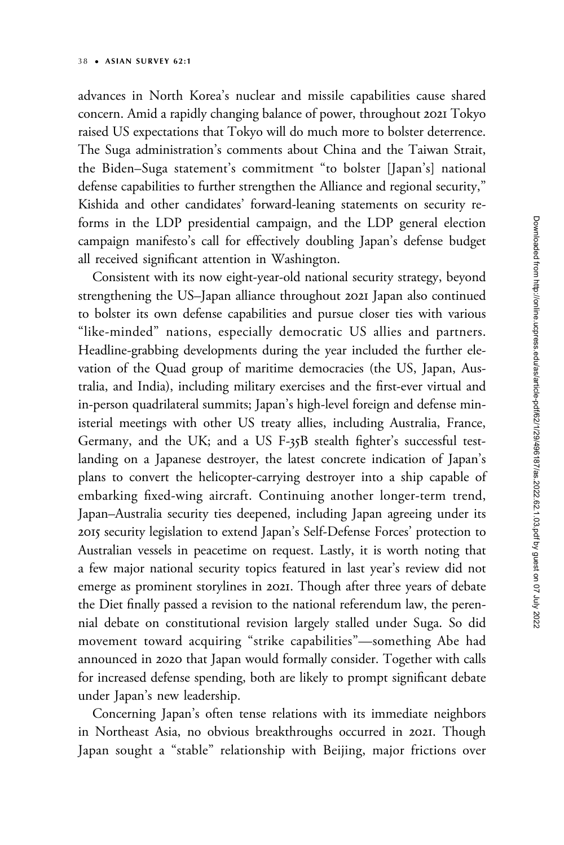advances in North Korea's nuclear and missile capabilities cause shared concern. Amid a rapidly changing balance of power, throughout 2021 Tokyo raised US expectations that Tokyo will do much more to bolster deterrence. The Suga administration's comments about China and the Taiwan Strait, the Biden–Suga statement's commitment "to bolster [Japan's] national defense capabilities to further strengthen the Alliance and regional security," Kishida and other candidates' forward-leaning statements on security reforms in the LDP presidential campaign, and the LDP general election campaign manifesto's call for effectively doubling Japan's defense budget all received significant attention in Washington.

Consistent with its now eight-year-old national security strategy, beyond strengthening the US–Japan alliance throughout 2021 Japan also continued to bolster its own defense capabilities and pursue closer ties with various "like-minded" nations, especially democratic US allies and partners. Headline-grabbing developments during the year included the further elevation of the Quad group of maritime democracies (the US, Japan, Australia, and India), including military exercises and the first-ever virtual and in-person quadrilateral summits; Japan's high-level foreign and defense ministerial meetings with other US treaty allies, including Australia, France, Germany, and the UK; and a US F-35B stealth fighter's successful testlanding on a Japanese destroyer, the latest concrete indication of Japan's plans to convert the helicopter-carrying destroyer into a ship capable of embarking fixed-wing aircraft. Continuing another longer-term trend, Japan–Australia security ties deepened, including Japan agreeing under its 2015 security legislation to extend Japan's Self-Defense Forces' protection to Australian vessels in peacetime on request. Lastly, it is worth noting that a few major national security topics featured in last year's review did not emerge as prominent storylines in 2021. Though after three years of debate the Diet finally passed a revision to the national referendum law, the perennial debate on constitutional revision largely stalled under Suga. So did movement toward acquiring "strike capabilities"—something Abe had announced in 2020 that Japan would formally consider. Together with calls for increased defense spending, both are likely to prompt significant debate under Japan's new leadership.

Concerning Japan's often tense relations with its immediate neighbors in Northeast Asia, no obvious breakthroughs occurred in 2021. Though Japan sought a "stable" relationship with Beijing, major frictions over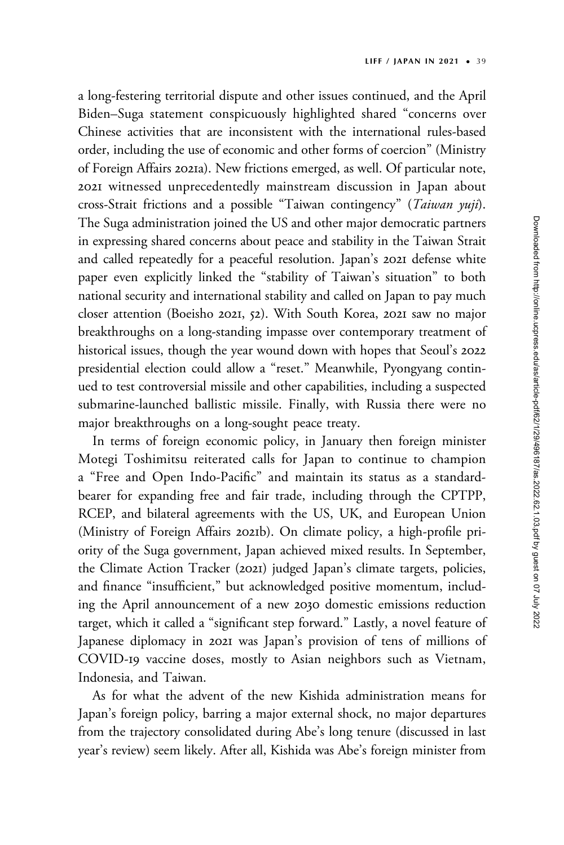a long-festering territorial dispute and other issues continued, and the April Biden–Suga statement conspicuously highlighted shared "concerns over Chinese activities that are inconsistent with the international rules-based order, including the use of economic and other forms of coercion" (Ministry of Foreign Affairs 2021a). New frictions emerged, as well. Of particular note, 2021 witnessed unprecedentedly mainstream discussion in Japan about cross-Strait frictions and a possible "Taiwan contingency" (Taiwan yuji). The Suga administration joined the US and other major democratic partners in expressing shared concerns about peace and stability in the Taiwan Strait and called repeatedly for a peaceful resolution. Japan's 2021 defense white paper even explicitly linked the "stability of Taiwan's situation" to both national security and international stability and called on Japan to pay much closer attention (Boeisho 2021, 52). With South Korea, 2021 saw no major breakthroughs on a long-standing impasse over contemporary treatment of historical issues, though the year wound down with hopes that Seoul's 2022 presidential election could allow a "reset." Meanwhile, Pyongyang continued to test controversial missile and other capabilities, including a suspected submarine-launched ballistic missile. Finally, with Russia there were no major breakthroughs on a long-sought peace treaty.

In terms of foreign economic policy, in January then foreign minister Motegi Toshimitsu reiterated calls for Japan to continue to champion a "Free and Open Indo-Pacific" and maintain its status as a standardbearer for expanding free and fair trade, including through the CPTPP, RCEP, and bilateral agreements with the US, UK, and European Union (Ministry of Foreign Affairs 2021b). On climate policy, a high-profile priority of the Suga government, Japan achieved mixed results. In September, the Climate Action Tracker (2021) judged Japan's climate targets, policies, and finance "insufficient," but acknowledged positive momentum, including the April announcement of a new 2030 domestic emissions reduction target, which it called a "significant step forward." Lastly, a novel feature of Japanese diplomacy in 2021 was Japan's provision of tens of millions of COVID-19 vaccine doses, mostly to Asian neighbors such as Vietnam, Indonesia, and Taiwan.

As for what the advent of the new Kishida administration means for Japan's foreign policy, barring a major external shock, no major departures from the trajectory consolidated during Abe's long tenure (discussed in last year's review) seem likely. After all, Kishida was Abe's foreign minister from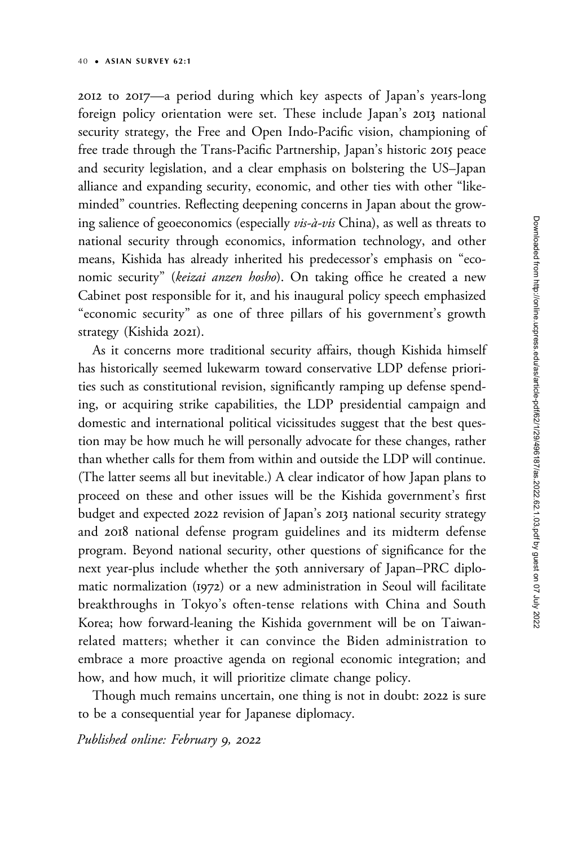2012 to 2017—a period during which key aspects of Japan's years-long foreign policy orientation were set. These include Japan's 2013 national security strategy, the Free and Open Indo-Pacific vision, championing of free trade through the Trans-Pacific Partnership, Japan's historic 2015 peace and security legislation, and a clear emphasis on bolstering the US–Japan alliance and expanding security, economic, and other ties with other "likeminded" countries. Reflecting deepening concerns in Japan about the growing salience of geoeconomics (especially *vis-à-vis* China), as well as threats to national security through economics, information technology, and other means, Kishida has already inherited his predecessor's emphasis on "economic security" (keizai anzen hosho). On taking office he created a new Cabinet post responsible for it, and his inaugural policy speech emphasized "economic security" as one of three pillars of his government's growth strategy (Kishida 2021).

As it concerns more traditional security affairs, though Kishida himself has historically seemed lukewarm toward conservative LDP defense priorities such as constitutional revision, significantly ramping up defense spending, or acquiring strike capabilities, the LDP presidential campaign and domestic and international political vicissitudes suggest that the best question may be how much he will personally advocate for these changes, rather than whether calls for them from within and outside the LDP will continue. (The latter seems all but inevitable.) A clear indicator of how Japan plans to proceed on these and other issues will be the Kishida government's first budget and expected 2022 revision of Japan's 2013 national security strategy and 2018 national defense program guidelines and its midterm defense program. Beyond national security, other questions of significance for the next year-plus include whether the 50th anniversary of Japan–PRC diplomatic normalization (1972) or a new administration in Seoul will facilitate breakthroughs in Tokyo's often-tense relations with China and South Korea; how forward-leaning the Kishida government will be on Taiwanrelated matters; whether it can convince the Biden administration to embrace a more proactive agenda on regional economic integration; and how, and how much, it will prioritize climate change policy.

Though much remains uncertain, one thing is not in doubt: 2022 is sure to be a consequential year for Japanese diplomacy.

Published online: February 9, 2022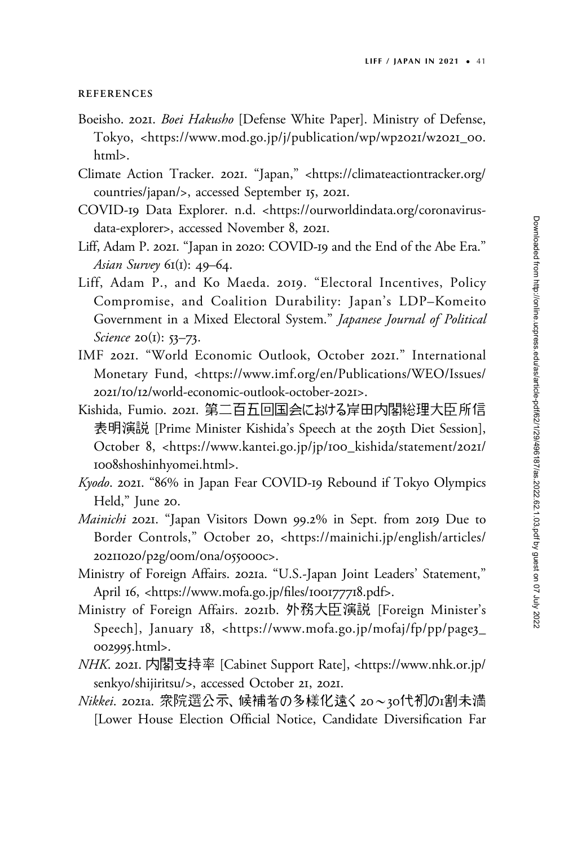#### **REFERENCES**

- Boeisho. 2021. Boei Hakusho [Defense White Paper]. Ministry of Defense, Tokyo, <[https://www.mod.go.jp/j/publication/wp/wp](https://www.mod.go.jp/j/publication/wp/wp2021/w2021_00.html)2021/w2021\_00. [html](https://www.mod.go.jp/j/publication/wp/wp2021/w2021_00.html)>.
- Climate Action Tracker. 2021. "Japan," <[https://climateactiontracker.org/](https://climateactiontracker.org/countries/japan/) [countries/japan/](https://climateactiontracker.org/countries/japan/)>, accessed September 15, 2021.
- COVID-19 Data Explorer. n.d. [<https://ourworldindata.org/coronavirus](https://ourworldindata.org/coronavirus-data-explorer)[data-explorer](https://ourworldindata.org/coronavirus-data-explorer)>, accessed November 8, 2021.
- Liff, Adam P. 2021. "Japan in 2020: COVID-19 and the End of the Abe Era." Asian Survey  $6I(1)$ : 49–64.
- Liff, Adam P., and Ko Maeda. 2019. "Electoral Incentives, Policy Compromise, and Coalition Durability: Japan's LDP–Komeito Government in a Mixed Electoral System." Japanese Journal of Political Science 20(1): 53-73.
- IMF 2021. "World Economic Outlook, October 2021." International Monetary Fund, [<https://www.imf.org/en/Publications/WEO/Issues/](https://www.imf.org/en/Publications/WEO/Issues/2021/10/12/world-economic-outlook-october-2021) 2021/10/12[/world-economic-outlook-october-](https://www.imf.org/en/Publications/WEO/Issues/2021/10/12/world-economic-outlook-october-2021)2021>.
- Kishida, Fumio. 2021. 第二百五回国会における岸田内閣総理大臣所信 表明演説 [Prime Minister Kishida's Speech at the 205th Diet Session], October 8, <[https://www.kantei.go.jp/jp/](https://www.kantei.go.jp/jp/100_kishida/statement/2021/1008shoshinhyomei.html)100\_kishida/statement/2021/ 1008[shoshinhyomei.html>](https://www.kantei.go.jp/jp/100_kishida/statement/2021/1008shoshinhyomei.html).
- Kyodo. 2021. "86% in Japan Fear COVID-19 Rebound if Tokyo Olympics Held," June 20.
- Mainichi 2021. "Japan Visitors Down 99.2% in Sept. from 2019 Due to Border Controls," October 20, [<https://mainichi.jp/english/articles/](https://mainichi.jp/english/articles/20211020/p2g/00m/0na/055000c) [20211020](https://mainichi.jp/english/articles/20211020/p2g/00m/0na/055000c)/p2g/00m/0na/055000c>.
- Ministry of Foreign Affairs. 2021a. "U.S.-Japan Joint Leaders' Statement," April 16, <[https://www.mofa.go.jp/](https://www.mofa.go.jp/files/100177718.pdf)files/100177718.pdf>.
- Ministry of Foreign Affairs. 2021b. 外務大臣演説 [Foreign Minister's Speech], January 18, <[https://www.mofa.go.jp/mofaj/fp/pp/page](https://www.mofa.go.jp/mofaj/fp/pp/page3_002995.html)3\_ [002995](https://www.mofa.go.jp/mofaj/fp/pp/page3_002995.html).html>.
- NHK. 2021. 内閣支持率 [Cabinet Support Rate], [<https://www.nhk.or.jp/](https://www.nhk.or.jp/senkyo/shijiritsu/) [senkyo/shijiritsu/](https://www.nhk.or.jp/senkyo/shijiritsu/)>, accessed October 21, 2021.
- <u> Nikkei. 2021a. 衆院選公示、候補者の多様化遠く 20~30代初のr</u>割未満 [Lower House Election Official Notice, Candidate Diversification Far